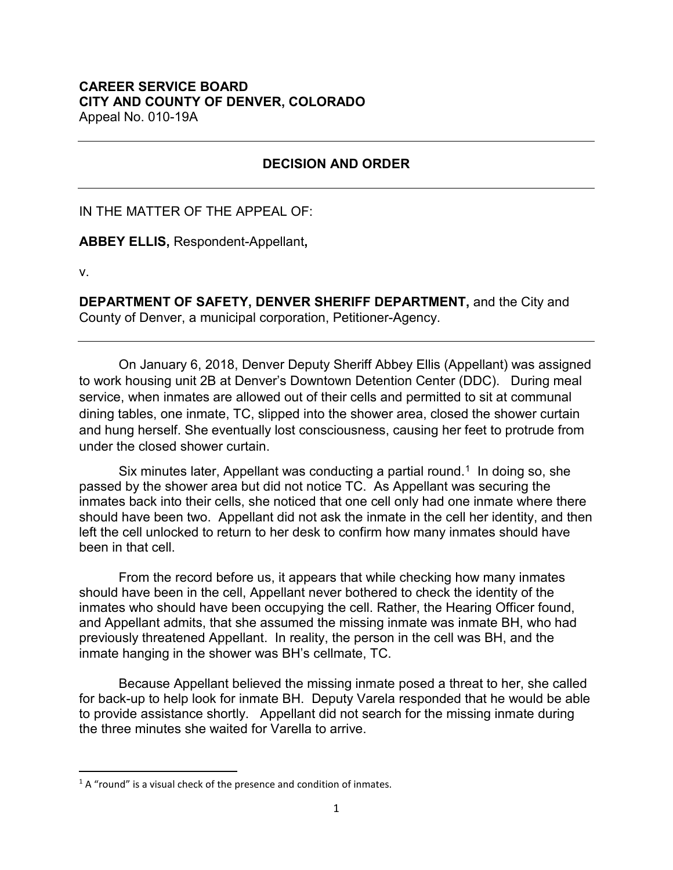## **CAREER SERVICE BOARD CITY AND COUNTY OF DENVER, COLORADO** Appeal No. 010-19A

## **DECISION AND ORDER**

IN THE MATTER OF THE APPEAL OF:

**ABBEY ELLIS,** Respondent-Appellant**,**

v.

**DEPARTMENT OF SAFETY, DENVER SHERIFF DEPARTMENT,** and the City and County of Denver, a municipal corporation, Petitioner-Agency.

On January 6, 2018, Denver Deputy Sheriff Abbey Ellis (Appellant) was assigned to work housing unit 2B at Denver's Downtown Detention Center (DDC). During meal service, when inmates are allowed out of their cells and permitted to sit at communal dining tables, one inmate, TC, slipped into the shower area, closed the shower curtain and hung herself. She eventually lost consciousness, causing her feet to protrude from under the closed shower curtain.

Six minutes later, Appellant was conducting a partial round.<sup>1</sup> In doing so, she passed by the shower area but did not notice TC. As Appellant was securing the inmates back into their cells, she noticed that one cell only had one inmate where there should have been two. Appellant did not ask the inmate in the cell her identity, and then left the cell unlocked to return to her desk to confirm how many inmates should have been in that cell.

From the record before us, it appears that while checking how many inmates should have been in the cell, Appellant never bothered to check the identity of the inmates who should have been occupying the cell. Rather, the Hearing Officer found, and Appellant admits, that she assumed the missing inmate was inmate BH, who had previously threatened Appellant. In reality, the person in the cell was BH, and the inmate hanging in the shower was BH's cellmate, TC.

Because Appellant believed the missing inmate posed a threat to her, she called for back-up to help look for inmate BH. Deputy Varela responded that he would be able to provide assistance shortly. Appellant did not search for the missing inmate during the three minutes she waited for Varella to arrive.

<span id="page-0-0"></span> $1A$  "round" is a visual check of the presence and condition of inmates.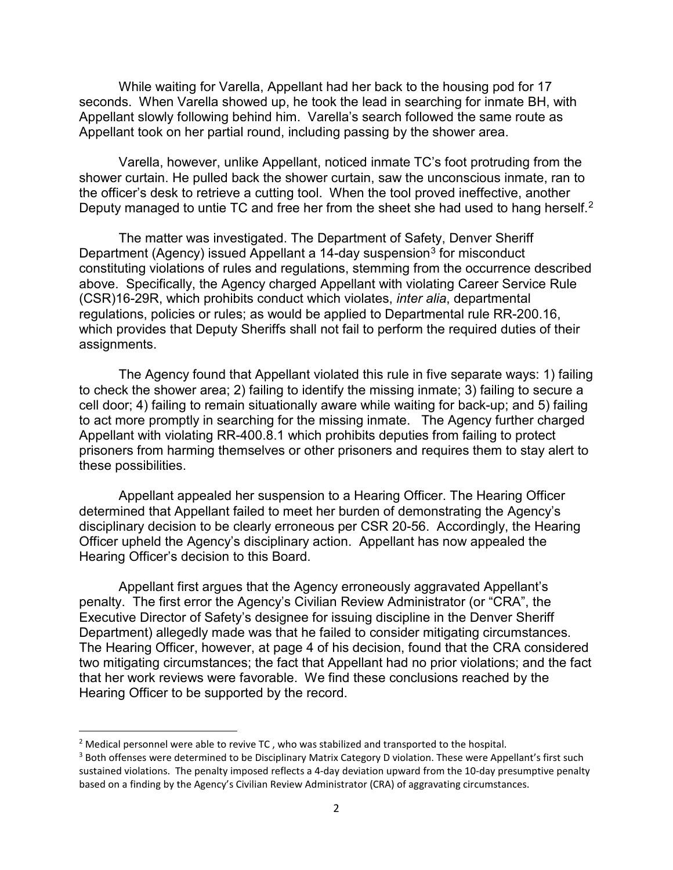While waiting for Varella, Appellant had her back to the housing pod for 17 seconds. When Varella showed up, he took the lead in searching for inmate BH, with Appellant slowly following behind him. Varella's search followed the same route as Appellant took on her partial round, including passing by the shower area.

Varella, however, unlike Appellant, noticed inmate TC's foot protruding from the shower curtain. He pulled back the shower curtain, saw the unconscious inmate, ran to the officer's desk to retrieve a cutting tool. When the tool proved ineffective, another Deputy managed to untie TC and free her from the sheet she had used to hang herself.<sup>[2](#page-1-0)</sup>

The matter was investigated. The Department of Safety, Denver Sheriff Department (Agency) issued Appellant a 14-day suspension<sup>[3](#page-1-1)</sup> for misconduct constituting violations of rules and regulations, stemming from the occurrence described above. Specifically, the Agency charged Appellant with violating Career Service Rule (CSR)16-29R, which prohibits conduct which violates, *inter alia*, departmental regulations, policies or rules; as would be applied to Departmental rule RR-200.16, which provides that Deputy Sheriffs shall not fail to perform the required duties of their assignments.

The Agency found that Appellant violated this rule in five separate ways: 1) failing to check the shower area; 2) failing to identify the missing inmate; 3) failing to secure a cell door; 4) failing to remain situationally aware while waiting for back-up; and 5) failing to act more promptly in searching for the missing inmate. The Agency further charged Appellant with violating RR-400.8.1 which prohibits deputies from failing to protect prisoners from harming themselves or other prisoners and requires them to stay alert to these possibilities.

Appellant appealed her suspension to a Hearing Officer. The Hearing Officer determined that Appellant failed to meet her burden of demonstrating the Agency's disciplinary decision to be clearly erroneous per CSR 20-56. Accordingly, the Hearing Officer upheld the Agency's disciplinary action. Appellant has now appealed the Hearing Officer's decision to this Board.

Appellant first argues that the Agency erroneously aggravated Appellant's penalty. The first error the Agency's Civilian Review Administrator (or "CRA", the Executive Director of Safety's designee for issuing discipline in the Denver Sheriff Department) allegedly made was that he failed to consider mitigating circumstances. The Hearing Officer, however, at page 4 of his decision, found that the CRA considered two mitigating circumstances; the fact that Appellant had no prior violations; and the fact that her work reviews were favorable. We find these conclusions reached by the Hearing Officer to be supported by the record.

<span id="page-1-0"></span><sup>&</sup>lt;sup>2</sup> Medical personnel were able to revive TC, who was stabilized and transported to the hospital.

<span id="page-1-1"></span><sup>&</sup>lt;sup>3</sup> Both offenses were determined to be Disciplinary Matrix Category D violation. These were Appellant's first such sustained violations. The penalty imposed reflects a 4-day deviation upward from the 10-day presumptive penalty based on a finding by the Agency's Civilian Review Administrator (CRA) of aggravating circumstances.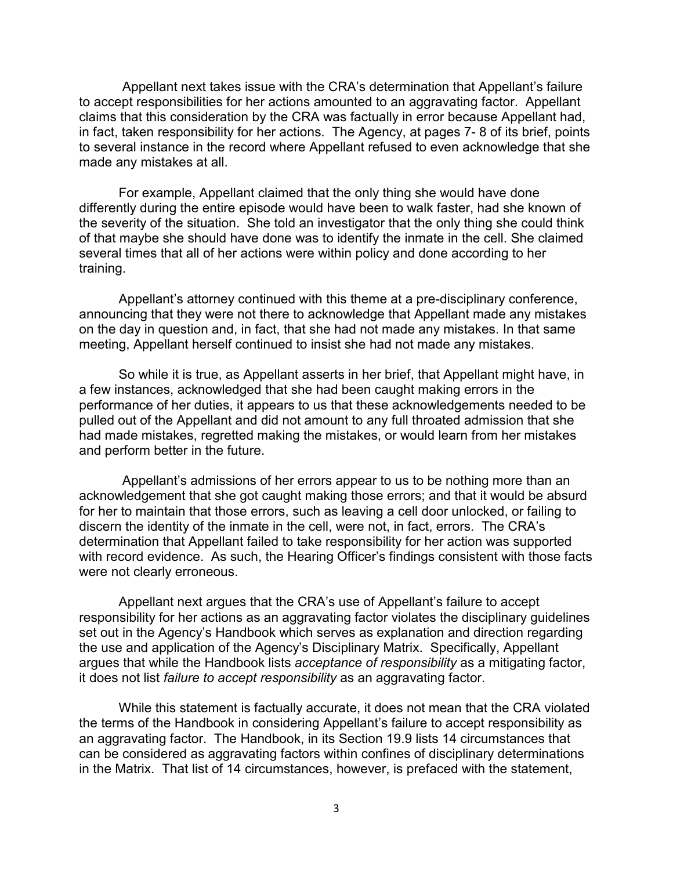Appellant next takes issue with the CRA's determination that Appellant's failure to accept responsibilities for her actions amounted to an aggravating factor. Appellant claims that this consideration by the CRA was factually in error because Appellant had, in fact, taken responsibility for her actions. The Agency, at pages 7- 8 of its brief, points to several instance in the record where Appellant refused to even acknowledge that she made any mistakes at all.

For example, Appellant claimed that the only thing she would have done differently during the entire episode would have been to walk faster, had she known of the severity of the situation. She told an investigator that the only thing she could think of that maybe she should have done was to identify the inmate in the cell. She claimed several times that all of her actions were within policy and done according to her training.

Appellant's attorney continued with this theme at a pre-disciplinary conference, announcing that they were not there to acknowledge that Appellant made any mistakes on the day in question and, in fact, that she had not made any mistakes. In that same meeting, Appellant herself continued to insist she had not made any mistakes.

So while it is true, as Appellant asserts in her brief, that Appellant might have, in a few instances, acknowledged that she had been caught making errors in the performance of her duties, it appears to us that these acknowledgements needed to be pulled out of the Appellant and did not amount to any full throated admission that she had made mistakes, regretted making the mistakes, or would learn from her mistakes and perform better in the future.

Appellant's admissions of her errors appear to us to be nothing more than an acknowledgement that she got caught making those errors; and that it would be absurd for her to maintain that those errors, such as leaving a cell door unlocked, or failing to discern the identity of the inmate in the cell, were not, in fact, errors. The CRA's determination that Appellant failed to take responsibility for her action was supported with record evidence. As such, the Hearing Officer's findings consistent with those facts were not clearly erroneous.

Appellant next argues that the CRA's use of Appellant's failure to accept responsibility for her actions as an aggravating factor violates the disciplinary guidelines set out in the Agency's Handbook which serves as explanation and direction regarding the use and application of the Agency's Disciplinary Matrix. Specifically, Appellant argues that while the Handbook lists *acceptance of responsibility* as a mitigating factor, it does not list *failure to accept responsibility* as an aggravating factor.

While this statement is factually accurate, it does not mean that the CRA violated the terms of the Handbook in considering Appellant's failure to accept responsibility as an aggravating factor. The Handbook, in its Section 19.9 lists 14 circumstances that can be considered as aggravating factors within confines of disciplinary determinations in the Matrix. That list of 14 circumstances, however, is prefaced with the statement,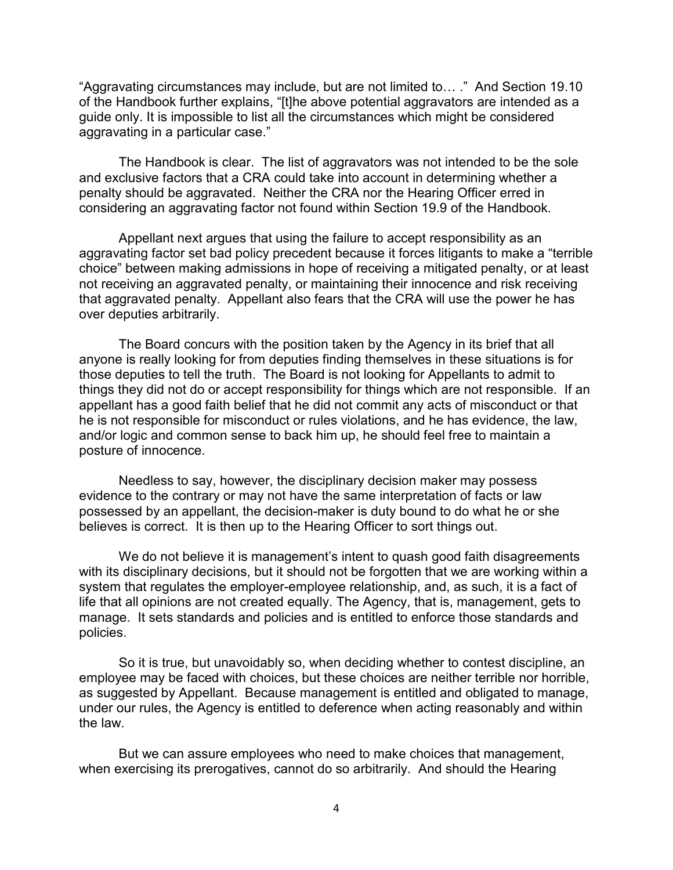"Aggravating circumstances may include, but are not limited to… ." And Section 19.10 of the Handbook further explains, "[t]he above potential aggravators are intended as a guide only. It is impossible to list all the circumstances which might be considered aggravating in a particular case."

The Handbook is clear. The list of aggravators was not intended to be the sole and exclusive factors that a CRA could take into account in determining whether a penalty should be aggravated. Neither the CRA nor the Hearing Officer erred in considering an aggravating factor not found within Section 19.9 of the Handbook.

Appellant next argues that using the failure to accept responsibility as an aggravating factor set bad policy precedent because it forces litigants to make a "terrible choice" between making admissions in hope of receiving a mitigated penalty, or at least not receiving an aggravated penalty, or maintaining their innocence and risk receiving that aggravated penalty. Appellant also fears that the CRA will use the power he has over deputies arbitrarily.

The Board concurs with the position taken by the Agency in its brief that all anyone is really looking for from deputies finding themselves in these situations is for those deputies to tell the truth. The Board is not looking for Appellants to admit to things they did not do or accept responsibility for things which are not responsible. If an appellant has a good faith belief that he did not commit any acts of misconduct or that he is not responsible for misconduct or rules violations, and he has evidence, the law, and/or logic and common sense to back him up, he should feel free to maintain a posture of innocence.

Needless to say, however, the disciplinary decision maker may possess evidence to the contrary or may not have the same interpretation of facts or law possessed by an appellant, the decision-maker is duty bound to do what he or she believes is correct. It is then up to the Hearing Officer to sort things out.

We do not believe it is management's intent to quash good faith disagreements with its disciplinary decisions, but it should not be forgotten that we are working within a system that regulates the employer-employee relationship, and, as such, it is a fact of life that all opinions are not created equally. The Agency, that is, management, gets to manage. It sets standards and policies and is entitled to enforce those standards and policies.

So it is true, but unavoidably so, when deciding whether to contest discipline, an employee may be faced with choices, but these choices are neither terrible nor horrible, as suggested by Appellant. Because management is entitled and obligated to manage, under our rules, the Agency is entitled to deference when acting reasonably and within the law.

But we can assure employees who need to make choices that management, when exercising its prerogatives, cannot do so arbitrarily. And should the Hearing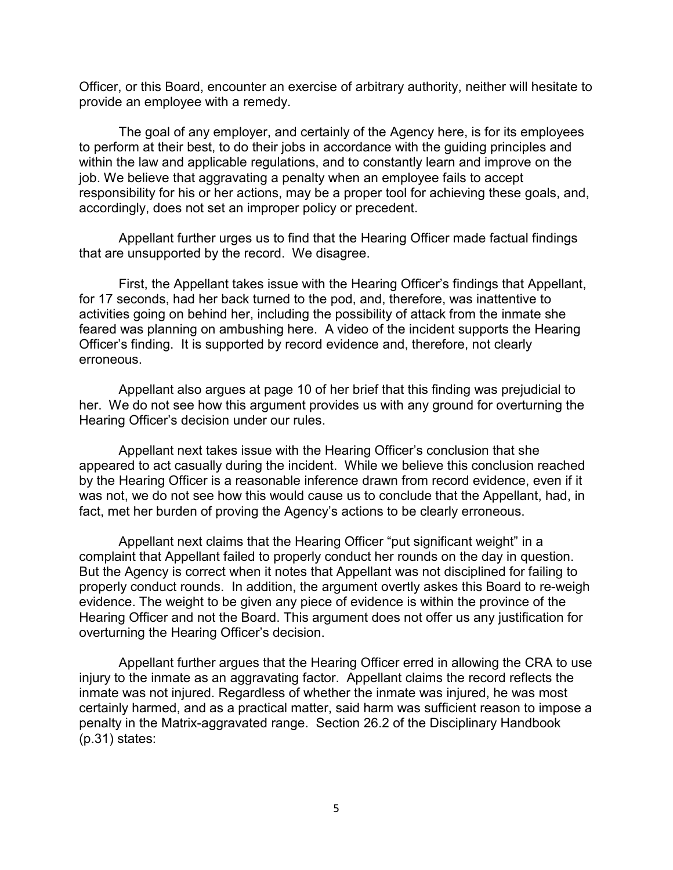Officer, or this Board, encounter an exercise of arbitrary authority, neither will hesitate to provide an employee with a remedy.

The goal of any employer, and certainly of the Agency here, is for its employees to perform at their best, to do their jobs in accordance with the guiding principles and within the law and applicable regulations, and to constantly learn and improve on the job. We believe that aggravating a penalty when an employee fails to accept responsibility for his or her actions, may be a proper tool for achieving these goals, and, accordingly, does not set an improper policy or precedent.

Appellant further urges us to find that the Hearing Officer made factual findings that are unsupported by the record. We disagree.

First, the Appellant takes issue with the Hearing Officer's findings that Appellant, for 17 seconds, had her back turned to the pod, and, therefore, was inattentive to activities going on behind her, including the possibility of attack from the inmate she feared was planning on ambushing here. A video of the incident supports the Hearing Officer's finding. It is supported by record evidence and, therefore, not clearly erroneous.

Appellant also argues at page 10 of her brief that this finding was prejudicial to her. We do not see how this argument provides us with any ground for overturning the Hearing Officer's decision under our rules.

Appellant next takes issue with the Hearing Officer's conclusion that she appeared to act casually during the incident. While we believe this conclusion reached by the Hearing Officer is a reasonable inference drawn from record evidence, even if it was not, we do not see how this would cause us to conclude that the Appellant, had, in fact, met her burden of proving the Agency's actions to be clearly erroneous.

Appellant next claims that the Hearing Officer "put significant weight" in a complaint that Appellant failed to properly conduct her rounds on the day in question. But the Agency is correct when it notes that Appellant was not disciplined for failing to properly conduct rounds. In addition, the argument overtly askes this Board to re-weigh evidence. The weight to be given any piece of evidence is within the province of the Hearing Officer and not the Board. This argument does not offer us any justification for overturning the Hearing Officer's decision.

Appellant further argues that the Hearing Officer erred in allowing the CRA to use injury to the inmate as an aggravating factor. Appellant claims the record reflects the inmate was not injured. Regardless of whether the inmate was injured, he was most certainly harmed, and as a practical matter, said harm was sufficient reason to impose a penalty in the Matrix-aggravated range. Section 26.2 of the Disciplinary Handbook (p.31) states: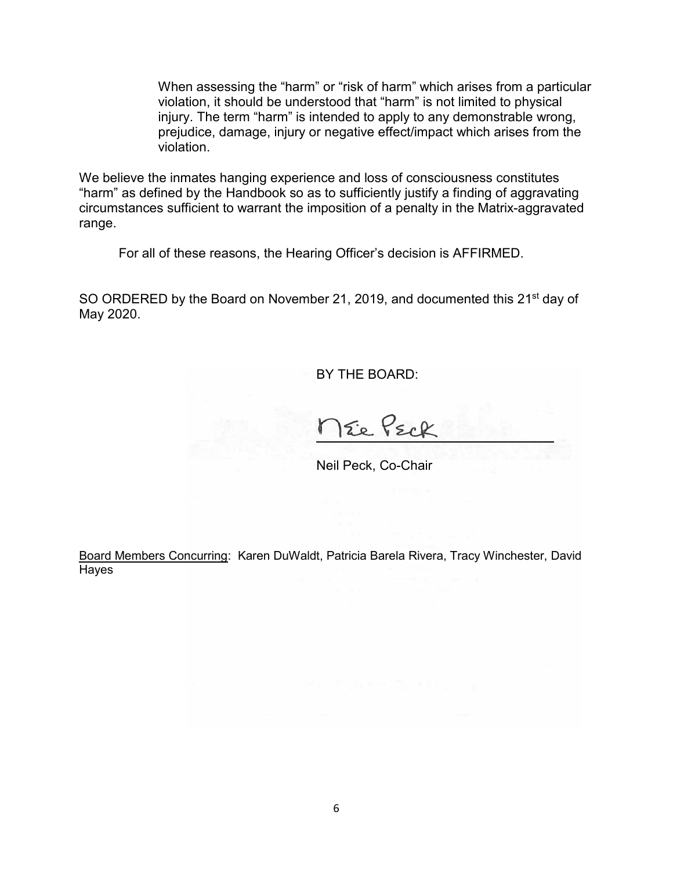When assessing the "harm" or "risk of harm" which arises from a particular violation, it should be understood that "harm" is not limited to physical injury. The term "harm" is intended to apply to any demonstrable wrong, prejudice, damage, injury or negative effect/impact which arises from the violation.

We believe the inmates hanging experience and loss of consciousness constitutes "harm" as defined by the Handbook so as to sufficiently justify a finding of aggravating circumstances sufficient to warrant the imposition of a penalty in the Matrix-aggravated range.

For all of these reasons, the Hearing Officer's decision is AFFIRMED.

SO ORDERED by the Board on November 21, 2019, and documented this 21<sup>st</sup> day of May 2020.

BY THE BOARD:

MEE PECK

Neil Peck, Co-Chair

Board Members Concurring: Karen DuWaldt, Patricia Barela Rivera, Tracy Winchester, David Hayes